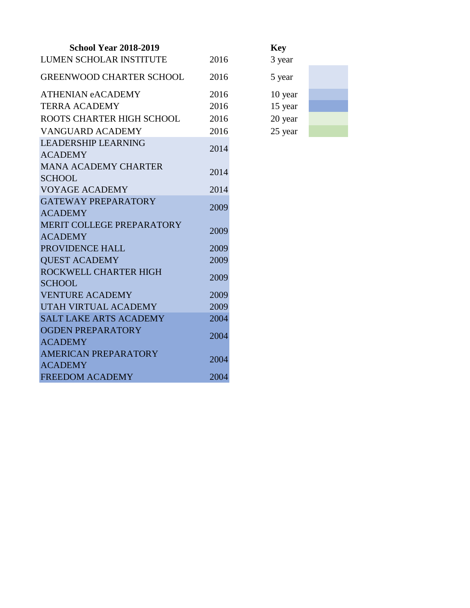| <b>School Year 2018-2019</b>                  |      | <b>Key</b> |
|-----------------------------------------------|------|------------|
| <b>LUMEN SCHOLAR INSTITUTE</b>                | 2016 | 3 year     |
| <b>GREENWOOD CHARTER SCHOOL</b>               | 2016 | 5 year     |
| <b>ATHENIAN eACADEMY</b>                      | 2016 | 10 year    |
| <b>TERRA ACADEMY</b>                          | 2016 | 15 year    |
| ROOTS CHARTER HIGH SCHOOL                     | 2016 | 20 year    |
| <b>VANGUARD ACADEMY</b>                       | 2016 | 25 year    |
| <b>LEADERSHIP LEARNING</b><br><b>ACADEMY</b>  | 2014 |            |
| <b>MANA ACADEMY CHARTER</b><br><b>SCHOOL</b>  | 2014 |            |
| <b>VOYAGE ACADEMY</b>                         | 2014 |            |
| <b>GATEWAY PREPARATORY</b><br><b>ACADEMY</b>  | 2009 |            |
| MERIT COLLEGE PREPARATORY                     | 2009 |            |
| <b>ACADEMY</b>                                |      |            |
| PROVIDENCE HALL                               | 2009 |            |
| <b>QUEST ACADEMY</b>                          | 2009 |            |
| ROCKWELL CHARTER HIGH<br><b>SCHOOL</b>        | 2009 |            |
| <b>VENTURE ACADEMY</b>                        | 2009 |            |
| UTAH VIRTUAL ACADEMY                          | 2009 |            |
| <b>SALT LAKE ARTS ACADEMY</b>                 | 2004 |            |
| <b>OGDEN PREPARATORY</b><br><b>ACADEMY</b>    | 2004 |            |
| <b>AMERICAN PREPARATORY</b><br><b>ACADEMY</b> | 2004 |            |
| <b>FREEDOM ACADEMY</b>                        | 2004 |            |

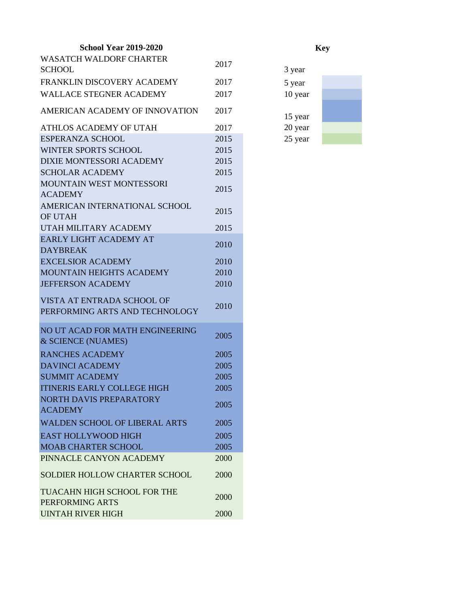## **School Year 2019-2020**

| <b>WASATCH WALDORF CHARTER</b>       |      |         |
|--------------------------------------|------|---------|
| <b>SCHOOL</b>                        | 2017 | 3 year  |
| FRANKLIN DISCOVERY ACADEMY           | 2017 | 5 year  |
| <b>WALLACE STEGNER ACADEMY</b>       | 2017 | 10 year |
| AMERICAN ACADEMY OF INNOVATION       | 2017 | 15 year |
| ATHLOS ACADEMY OF UTAH               | 2017 | 20 year |
| <b>ESPERANZA SCHOOL</b>              | 2015 | 25 year |
| <b>WINTER SPORTS SCHOOL</b>          | 2015 |         |
| <b>DIXIE MONTESSORI ACADEMY</b>      | 2015 |         |
| <b>SCHOLAR ACADEMY</b>               | 2015 |         |
| <b>MOUNTAIN WEST MONTESSORI</b>      |      |         |
| <b>ACADEMY</b>                       | 2015 |         |
| AMERICAN INTERNATIONAL SCHOOL        | 2015 |         |
| <b>OF UTAH</b>                       |      |         |
| UTAH MILITARY ACADEMY                | 2015 |         |
| <b>EARLY LIGHT ACADEMY AT</b>        | 2010 |         |
| <b>DAYBREAK</b>                      |      |         |
| <b>EXCELSIOR ACADEMY</b>             | 2010 |         |
| MOUNTAIN HEIGHTS ACADEMY             | 2010 |         |
| <b>JEFFERSON ACADEMY</b>             | 2010 |         |
| VISTA AT ENTRADA SCHOOL OF           |      |         |
| PERFORMING ARTS AND TECHNOLOGY       | 2010 |         |
| NO UT ACAD FOR MATH ENGINEERING      |      |         |
| & SCIENCE (NUAMES)                   | 2005 |         |
| <b>RANCHES ACADEMY</b>               | 2005 |         |
| <b>DAVINCI ACADEMY</b>               | 2005 |         |
| <b>SUMMIT ACADEMY</b>                | 2005 |         |
| <b>ITINERIS EARLY COLLEGE HIGH</b>   | 2005 |         |
| NORTH DAVIS PREPARATORY              |      |         |
| <b>ACADEMY</b>                       | 2005 |         |
| <b>WALDEN SCHOOL OF LIBERAL ARTS</b> | 2005 |         |
| <b>EAST HOLLYWOOD HIGH</b>           | 2005 |         |
| <b>MOAB CHARTER SCHOOL</b>           | 2005 |         |
| PINNACLE CANYON ACADEMY              | 2000 |         |
|                                      |      |         |
| <b>SOLDIER HOLLOW CHARTER SCHOOL</b> | 2000 |         |
| TUACAHN HIGH SCHOOL FOR THE          |      |         |
| PERFORMING ARTS                      | 2000 |         |
| <b>UINTAH RIVER HIGH</b>             | 2000 |         |

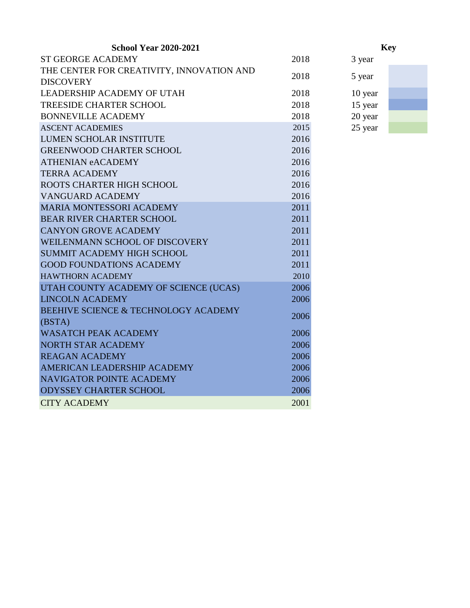| 2018 | 3 year                               |
|------|--------------------------------------|
|      |                                      |
|      | 5 year                               |
| 2018 | 10 year                              |
| 2018 | 15 year                              |
| 2018 | 20 year                              |
| 2015 | 25 year                              |
| 2016 |                                      |
| 2016 |                                      |
| 2016 |                                      |
| 2016 |                                      |
| 2016 |                                      |
| 2016 |                                      |
| 2011 |                                      |
| 2011 |                                      |
| 2011 |                                      |
| 2011 |                                      |
| 2011 |                                      |
| 2011 |                                      |
| 2010 |                                      |
| 2006 |                                      |
| 2006 |                                      |
|      |                                      |
|      |                                      |
|      |                                      |
| 2006 |                                      |
|      |                                      |
|      |                                      |
| 2006 |                                      |
| 2006 |                                      |
| 2001 |                                      |
|      | 2018<br>2006<br>2006<br>2006<br>2006 |

- 
- -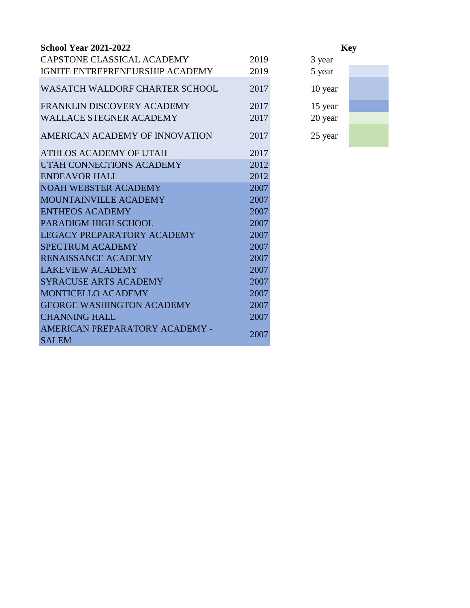| <b>School Year 2021-2022</b>                   |      |         |
|------------------------------------------------|------|---------|
| CAPSTONE CLASSICAL ACADEMY                     | 2019 | 3 year  |
| IGNITE ENTREPRENEURSHIP ACADEMY                | 2019 | 5 year  |
| <b>WASATCH WALDORF CHARTER SCHOOL</b>          | 2017 | 10 year |
| FRANKLIN DISCOVERY ACADEMY                     | 2017 | 15 year |
| <b>WALLACE STEGNER ACADEMY</b>                 | 2017 | 20 year |
| AMERICAN ACADEMY OF INNOVATION                 | 2017 | 25 year |
| ATHLOS ACADEMY OF UTAH                         | 2017 |         |
| UTAH CONNECTIONS ACADEMY                       | 2012 |         |
| <b>ENDEAVOR HALL</b>                           | 2012 |         |
| <b>NOAH WEBSTER ACADEMY</b>                    | 2007 |         |
| MOUNTAINVILLE ACADEMY                          | 2007 |         |
| <b>ENTHEOS ACADEMY</b>                         | 2007 |         |
| PARADIGM HIGH SCHOOL                           | 2007 |         |
| LEGACY PREPARATORY ACADEMY                     | 2007 |         |
| <b>SPECTRUM ACADEMY</b>                        | 2007 |         |
| <b>RENAISSANCE ACADEMY</b>                     | 2007 |         |
| <b>LAKEVIEW ACADEMY</b>                        | 2007 |         |
| <b>SYRACUSE ARTS ACADEMY</b>                   | 2007 |         |
| <b>MONTICELLO ACADEMY</b>                      | 2007 |         |
| <b>GEORGE WASHINGTON ACADEMY</b>               | 2007 |         |
| <b>CHANNING HALL</b>                           | 2007 |         |
| AMERICAN PREPARATORY ACADEMY -<br><b>SALEM</b> | 2007 |         |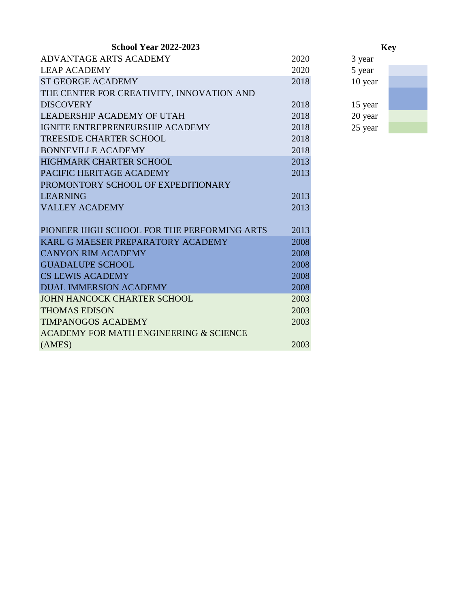| 2020 | 3 year                                                               |
|------|----------------------------------------------------------------------|
| 2020 | 5 year                                                               |
| 2018 | 10 year                                                              |
|      |                                                                      |
| 2018 | 15 year                                                              |
| 2018 | 20 year                                                              |
| 2018 | 25 year                                                              |
| 2018 |                                                                      |
| 2018 |                                                                      |
| 2013 |                                                                      |
| 2013 |                                                                      |
|      |                                                                      |
| 2013 |                                                                      |
| 2013 |                                                                      |
|      |                                                                      |
|      |                                                                      |
|      |                                                                      |
|      |                                                                      |
|      |                                                                      |
|      |                                                                      |
|      |                                                                      |
|      |                                                                      |
|      |                                                                      |
|      |                                                                      |
|      |                                                                      |
| 2003 |                                                                      |
|      | 2013<br>2008<br>2008<br>2008<br>2008<br>2008<br>2003<br>2003<br>2003 |

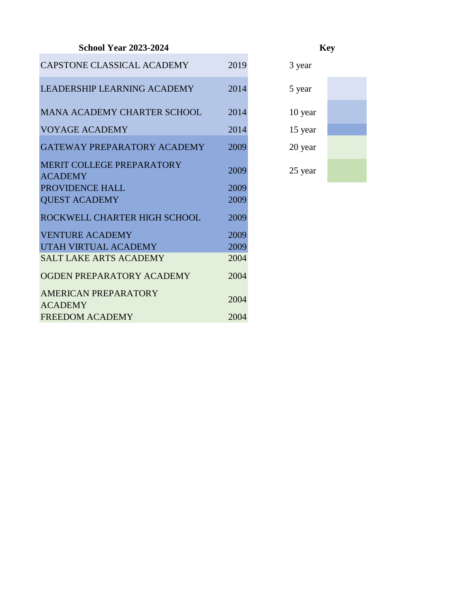## **School Year 2023-2024**

| CAPSTONE CLASSICAL ACADEMY                    | 2019 | 3 year  |
|-----------------------------------------------|------|---------|
| LEADERSHIP LEARNING ACADEMY                   | 2014 | 5 year  |
| MANA ACADEMY CHARTER SCHOOL                   | 2014 | 10 year |
| <b>VOYAGE ACADEMY</b>                         | 2014 | 15 year |
| GATEWAY PREPARATORY ACADEMY                   | 2009 | 20 year |
| MERIT COLLEGE PREPARATORY<br><b>ACADEMY</b>   | 2009 | 25 year |
| PROVIDENCE HALL                               | 2009 |         |
| <b>QUEST ACADEMY</b>                          | 2009 |         |
| ROCKWELL CHARTER HIGH SCHOOL                  | 2009 |         |
| <b>VENTURE ACADEMY</b>                        | 2009 |         |
| UTAH VIRTUAL ACADEMY                          | 2009 |         |
| <b>SALT LAKE ARTS ACADEMY</b>                 | 2004 |         |
| OGDEN PREPARATORY ACADEMY                     | 2004 |         |
| <b>AMERICAN PREPARATORY</b><br><b>ACADEMY</b> | 2004 |         |
| <b>FREEDOM ACADEMY</b>                        | 2004 |         |
|                                               |      |         |

 $10$  year  $15$  year 20 year